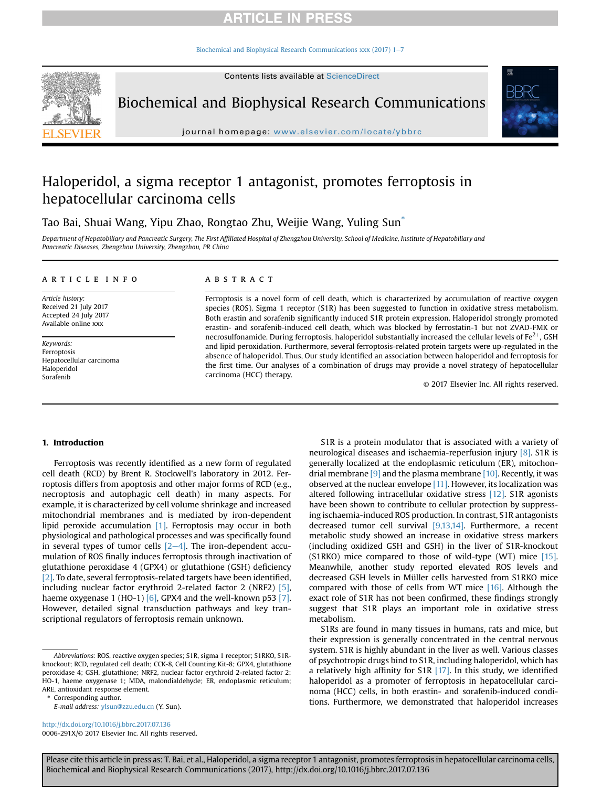## **ARTICLE IN PRESS**

[Biochemical and Biophysical Research Communications xxx \(2017\) 1](http://dx.doi.org/10.1016/j.bbrc.2017.07.136)-[7](http://dx.doi.org/10.1016/j.bbrc.2017.07.136)



Biochemical and Biophysical Research Communications

journal homepage: <www.elsevier.com/locate/ybbrc>

# Haloperidol, a sigma receptor 1 antagonist, promotes ferroptosis in hepatocellular carcinoma cells

Tao Bai, Shuai Wang, Yipu Zhao, Rongtao Zhu, Weijie Wang, Yuling Sun\*

Department of Hepatobiliary and Pancreatic Surgery, The First Affiliated Hospital of Zhengzhou University, School of Medicine, Institute of Hepatobiliary and Pancreatic Diseases, Zhengzhou University, Zhengzhou, PR China

#### article info

Article history: Received 21 July 2017 Accepted 24 July 2017 Available online xxx

Keywords: Ferroptosis Hepatocellular carcinoma Haloperidol Sorafenib

#### ABSTRACT

Ferroptosis is a novel form of cell death, which is characterized by accumulation of reactive oxygen species (ROS). Sigma 1 receptor (S1R) has been suggested to function in oxidative stress metabolism. Both erastin and sorafenib significantly induced S1R protein expression. Haloperidol strongly promoted erastin- and sorafenib-induced cell death, which was blocked by ferrostatin-1 but not ZVAD-FMK or necrosulfonamide. During ferroptosis, haloperidol substantially increased the cellular levels of  $Fe^{2+}$ , GSH and lipid peroxidation. Furthermore, several ferroptosis-related protein targets were up-regulated in the absence of haloperidol. Thus, Our study identified an association between haloperidol and ferroptosis for the first time. Our analyses of a combination of drugs may provide a novel strategy of hepatocellular carcinoma (HCC) therapy.

© 2017 Elsevier Inc. All rights reserved.

#### 1. Introduction

Ferroptosis was recently identified as a new form of regulated cell death (RCD) by Brent R. Stockwell's laboratory in 2012. Ferroptosis differs from apoptosis and other major forms of RCD (e.g., necroptosis and autophagic cell death) in many aspects. For example, it is characterized by cell volume shrinkage and increased mitochondrial membranes and is mediated by iron-dependent lipid peroxide accumulation [\[1\]](#page--1-0). Ferroptosis may occur in both physiological and pathological processes and was specifically found in several types of tumor cells  $[2-4]$  $[2-4]$  $[2-4]$ . The iron-dependent accumulation of ROS finally induces ferroptosis through inactivation of glutathione peroxidase 4 (GPX4) or glutathione (GSH) deficiency [\[2\]](#page--1-0). To date, several ferroptosis-related targets have been identified, including nuclear factor erythroid 2-related factor 2 (NRF2) [\[5\],](#page--1-0) haeme oxygenase 1 (HO-1) [\[6\]](#page--1-0), GPX4 and the well-known p53 [\[7\].](#page--1-0) However, detailed signal transduction pathways and key transcriptional regulators of ferroptosis remain unknown.

Corresponding author.

<http://dx.doi.org/10.1016/j.bbrc.2017.07.136> 0006-291X/© 2017 Elsevier Inc. All rights reserved.

S1R is a protein modulator that is associated with a variety of neurological diseases and ischaemia-reperfusion injury [\[8\].](#page--1-0) S1R is generally localized at the endoplasmic reticulum (ER), mitochondrial membrane  $[9]$  and the plasma membrane  $[10]$ . Recently, it was observed at the nuclear envelope  $[11]$ . However, its localization was altered following intracellular oxidative stress [\[12\]](#page--1-0). S1R agonists have been shown to contribute to cellular protection by suppressing ischaemia-induced ROS production. In contrast, S1R antagonists decreased tumor cell survival [\[9,13,14\]](#page--1-0). Furthermore, a recent metabolic study showed an increase in oxidative stress markers (including oxidized GSH and GSH) in the liver of S1R-knockout (S1RKO) mice compared to those of wild-type (WT) mice [\[15\].](#page--1-0) Meanwhile, another study reported elevated ROS levels and decreased GSH levels in Müller cells harvested from S1RKO mice compared with those of cells from WT mice [\[16\].](#page--1-0) Although the exact role of S1R has not been confirmed, these findings strongly suggest that S1R plays an important role in oxidative stress metabolism.

S1Rs are found in many tissues in humans, rats and mice, but their expression is generally concentrated in the central nervous system. S1R is highly abundant in the liver as well. Various classes of psychotropic drugs bind to S1R, including haloperidol, which has a relatively high affinity for  $S1R$  [\[17\]](#page--1-0). In this study, we identified haloperidol as a promoter of ferroptosis in hepatocellular carcinoma (HCC) cells, in both erastin- and sorafenib-induced conditions. Furthermore, we demonstrated that haloperidol increases

Please cite this article in press as: T. Bai, et al., Haloperidol, a sigma receptor 1 antagonist, promotes ferroptosis in hepatocellular carcinoma cells, Biochemical and Biophysical Research Communications (2017), http://dx.doi.org/10.1016/j.bbrc.2017.07.136

Abbreviations: ROS, reactive oxygen species; S1R, sigma 1 receptor; S1RKO, S1Rknockout; RCD, regulated cell death; CCK-8, Cell Counting Kit-8; GPX4, glutathione peroxidase 4; GSH, glutathione; NRF2, nuclear factor erythroid 2-related factor 2; HO-1, haeme oxygenase 1; MDA, malondialdehyde; ER, endoplasmic reticulum; ARE, antioxidant response element.

E-mail address: [ylsun@zzu.edu.cn](mailto:ylsun@zzu.edu.cn) (Y. Sun).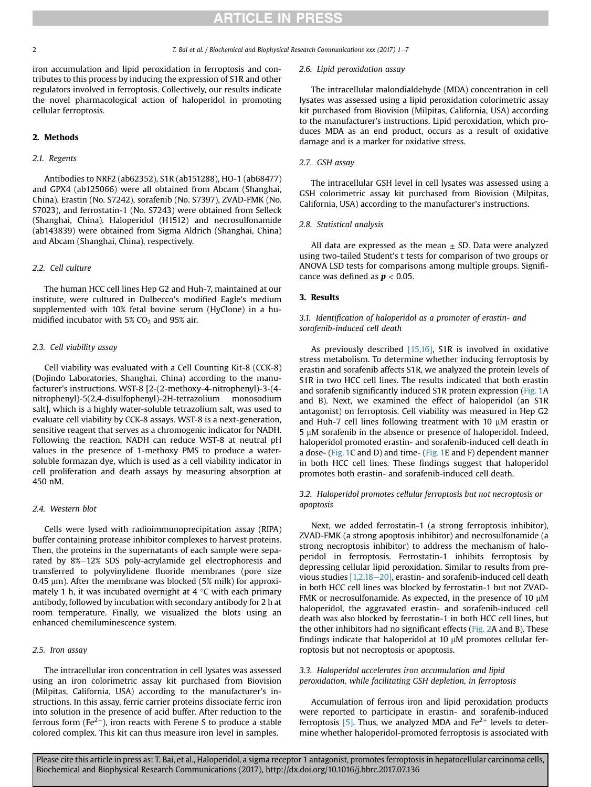### **ARTICLE IN PRESS**

#### 2 2 T. Bai et al. / Biochemical and Biophysical Research Communications xxx (2017) 1-7

iron accumulation and lipid peroxidation in ferroptosis and contributes to this process by inducing the expression of S1R and other regulators involved in ferroptosis. Collectively, our results indicate the novel pharmacological action of haloperidol in promoting cellular ferroptosis.

#### 2. Methods

#### 2.1. Regents

Antibodies to NRF2 (ab62352), S1R (ab151288), HO-1 (ab68477) and GPX4 (ab125066) were all obtained from Abcam (Shanghai, China). Erastin (No. S7242), sorafenib (No. S7397), ZVAD-FMK (No. S7023), and ferrostatin-1 (No. S7243) were obtained from Selleck (Shanghai, China). Haloperidol (H1512) and necrosulfonamide (ab143839) were obtained from Sigma Aldrich (Shanghai, China) and Abcam (Shanghai, China), respectively.

#### 2.2. Cell culture

The human HCC cell lines Hep G2 and Huh-7, maintained at our institute, were cultured in Dulbecco's modified Eagle's medium supplemented with 10% fetal bovine serum (HyClone) in a humidified incubator with  $5\%$  CO<sub>2</sub> and  $95\%$  air.

#### 2.3. Cell viability assay

Cell viability was evaluated with a Cell Counting Kit-8 (CCK-8) (Dojindo Laboratories, Shanghai, China) according to the manufacturer's instructions. WST-8 [2-(2-methoxy-4-nitrophenyl)-3-(4 nitrophenyl)-5(2,4-disulfophenyl)-2H-tetrazolium monosodium salt], which is a highly water-soluble tetrazolium salt, was used to evaluate cell viability by CCK-8 assays. WST-8 is a next-generation, sensitive reagent that serves as a chromogenic indicator for NADH. Following the reaction, NADH can reduce WST-8 at neutral pH values in the presence of 1-methoxy PMS to produce a watersoluble formazan dye, which is used as a cell viability indicator in cell proliferation and death assays by measuring absorption at 450 nM.

#### 2.4. Western blot

Cells were lysed with radioimmunoprecipitation assay (RIPA) buffer containing protease inhibitor complexes to harvest proteins. Then, the proteins in the supernatants of each sample were separated by 8%-12% SDS poly-acrylamide gel electrophoresis and transferred to polyvinylidene fluoride membranes (pore size 0.45  $\mu$ m). After the membrane was blocked (5% milk) for approximately 1 h, it was incubated overnight at 4  $^{\circ}$ C with each primary antibody, followed by incubation with secondary antibody for 2 h at room temperature. Finally, we visualized the blots using an enhanced chemiluminescence system.

#### 2.5. Iron assay

The intracellular iron concentration in cell lysates was assessed using an iron colorimetric assay kit purchased from Biovision (Milpitas, California, USA) according to the manufacturer's instructions. In this assay, ferric carrier proteins dissociate ferric iron into solution in the presence of acid buffer. After reduction to the ferrous form (Fe $2^+$ ), iron reacts with Ferene S to produce a stable colored complex. This kit can thus measure iron level in samples.

#### 2.6. Lipid peroxidation assay

The intracellular malondialdehyde (MDA) concentration in cell lysates was assessed using a lipid peroxidation colorimetric assay kit purchased from Biovision (Milpitas, California, USA) according to the manufacturer's instructions. Lipid peroxidation, which produces MDA as an end product, occurs as a result of oxidative damage and is a marker for oxidative stress.

#### 2.7. GSH assay

The intracellular GSH level in cell lysates was assessed using a GSH colorimetric assay kit purchased from Biovision (Milpitas, California, USA) according to the manufacturer's instructions.

#### 2.8. Statistical analysis

All data are expressed as the mean  $\pm$  SD. Data were analyzed using two-tailed Student's t tests for comparison of two groups or ANOVA LSD tests for comparisons among multiple groups. Significance was defined as  $p < 0.05$ .

#### 3. Results

#### 3.1. Identification of haloperidol as a promoter of erastin- and sorafenib-induced cell death

As previously described [\[15,16\]](#page--1-0), S1R is involved in oxidative stress metabolism. To determine whether inducing ferroptosis by erastin and sorafenib affects S1R, we analyzed the protein levels of S1R in two HCC cell lines. The results indicated that both erastin and sorafenib significantly induced S1R protein expression [\(Fig. 1](#page--1-0)A and B). Next, we examined the effect of haloperidol (an S1R antagonist) on ferroptosis. Cell viability was measured in Hep G2 and Huh-7 cell lines following treatment with 10  $\mu$ M erastin or  $5 \mu$ M sorafenib in the absence or presence of haloperidol. Indeed, haloperidol promoted erastin- and sorafenib-induced cell death in a dose- [\(Fig. 1](#page--1-0)C and D) and time- [\(Fig. 1](#page--1-0)E and F) dependent manner in both HCC cell lines. These findings suggest that haloperidol promotes both erastin- and sorafenib-induced cell death.

#### 3.2. Haloperidol promotes cellular ferroptosis but not necroptosis or apoptosis

Next, we added ferrostatin-1 (a strong ferroptosis inhibitor), ZVAD-FMK (a strong apoptosis inhibitor) and necrosulfonamide (a strong necroptosis inhibitor) to address the mechanism of haloperidol in ferroptosis. Ferrostatin-1 inhibits ferroptosis by depressing cellular lipid peroxidation. Similar to results from previous studies  $[1,2,18-20]$  $[1,2,18-20]$ , erastin- and sorafenib-induced cell death in both HCC cell lines was blocked by ferrostatin-1 but not ZVAD-FMK or necrosulfonamide. As expected, in the presence of 10  $\mu$ M haloperidol, the aggravated erastin- and sorafenib-induced cell death was also blocked by ferrostatin-1 in both HCC cell lines, but the other inhibitors had no significant effects ([Fig. 2](#page--1-0)A and B). These findings indicate that haloperidol at 10  $\mu$ M promotes cellular ferroptosis but not necroptosis or apoptosis.

#### 3.3. Haloperidol accelerates iron accumulation and lipid peroxidation, while facilitating GSH depletion, in ferroptosis

Accumulation of ferrous iron and lipid peroxidation products were reported to participate in erastin- and sorafenib-induced ferroptosis  $[5]$ . Thus, we analyzed MDA and  $Fe<sup>2+</sup>$  levels to determine whether haloperidol-promoted ferroptosis is associated with

Please cite this article in press as: T. Bai, et al., Haloperidol, a sigma receptor 1 antagonist, promotes ferroptosis in hepatocellular carcinoma cells, Biochemical and Biophysical Research Communications (2017), http://dx.doi.org/10.1016/j.bbrc.2017.07.136